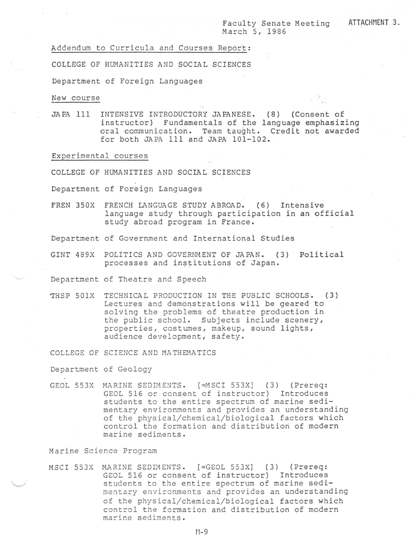Faculty Senate Meeting March 5, 1986

Addendum to Curricula and Courses Report:

COLLEGE OF HUMANITIES AND SOCIAL SCIENCES

Department of Foreign Languages

New course

JAPA 111 INTENSIVE INTRODUCTORY JAPANESE. ( 8) (Consent of instructor) Fundamentals of the language emphasizing oral communication. Team taught. Credit not awarded for both JAPA 111 and JAPA 101-102.

Experimental courses

COLLEGE OF HUMANITIES AND SOCIAL SCIENCES

Department of Foreign Languages

FREN 350X FRENCH LANGUAGE STUDY ABROAD. (6) Intensive language study through participation in an official study abroad program in France.

Department cf Government and International Studies

GINT 489X POLITICS AND GOVERNMENT OF JAPAN. (3) Political processes and institutions of Japan.

Department of Theatre and Speech

~HSP 501X TECHNICAL PRODUCTION IN THE PUBLIC SCHOOLS. (3) Lectures and demonstrations will be geared to solving the problems of theatre production in the public school. Subjects include scenery, properties, costumes, makeup, sound lights, audience development, safety.

COLLEGE OF SCIENCE AND MATHEMATICS

Department of Geology

GEOL 553X MARINE SEDIMENTS. [=MSCI 553X] (3) (Prereq: GEOL 516 or consent of instructor) Introduces students to the entire spectrum of marine sedimentary environments and provides an understanding of the physical/chemical/biological factors which control the formation and distribution of modern marine sediments.

Marine Science Program

MSCI 553X MARINE SEDrnENTS. [=GEOL 553X] (3) (Prereq: GEOL 516 or consent of instructor) Introduces students to the entire spectrum of marine sedimentary environments and provides an understanding of the physical/chemical/biological factors which control the formation and distribution of modern marine sediments.